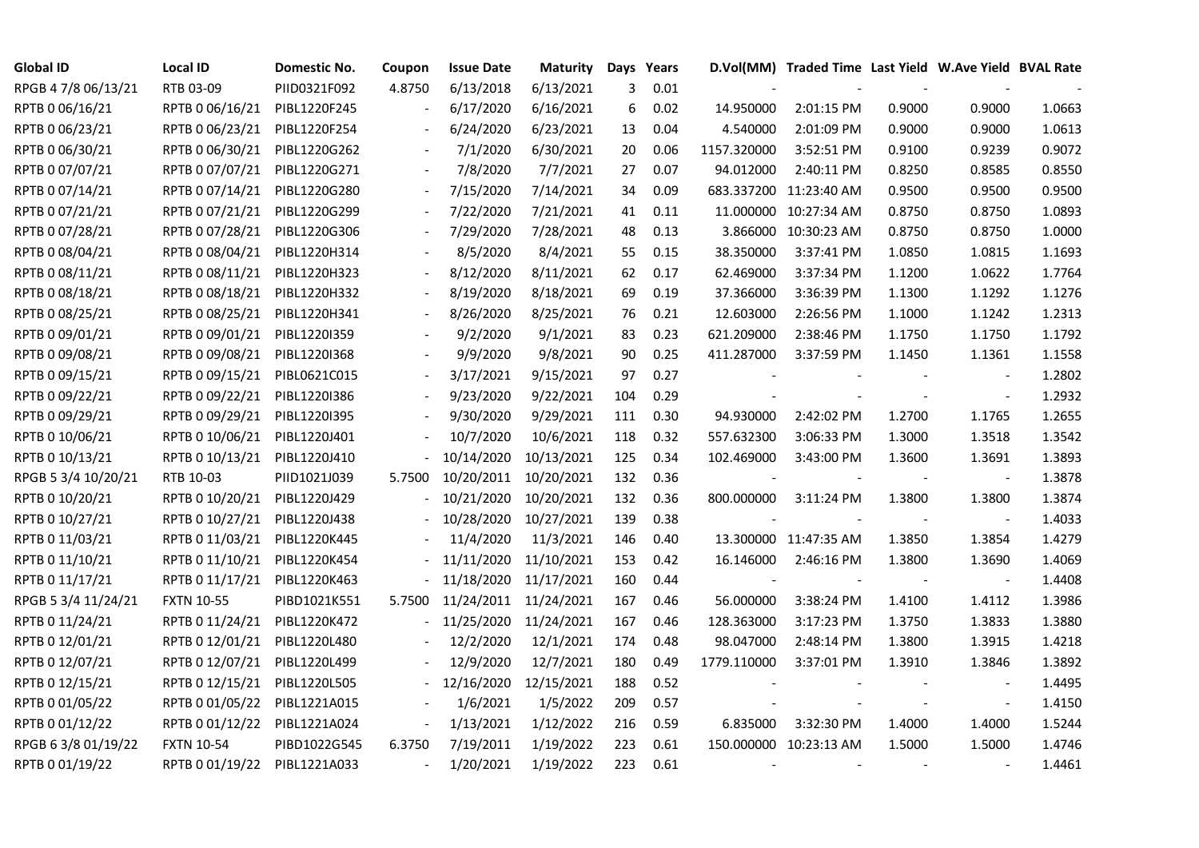| <b>Global ID</b>    | <b>Local ID</b>   | Domestic No. | Coupon | <b>Issue Date</b> | <b>Maturity</b> | Days Years |      |             | D.Vol(MM) Traded Time Last Yield W.Ave Yield BVAL Rate |        |                          |        |
|---------------------|-------------------|--------------|--------|-------------------|-----------------|------------|------|-------------|--------------------------------------------------------|--------|--------------------------|--------|
| RPGB 4 7/8 06/13/21 | RTB 03-09         | PIID0321F092 | 4.8750 | 6/13/2018         | 6/13/2021       | 3          | 0.01 |             |                                                        |        |                          |        |
| RPTB 0 06/16/21     | RPTB 0 06/16/21   | PIBL1220F245 |        | 6/17/2020         | 6/16/2021       | 6          | 0.02 | 14.950000   | 2:01:15 PM                                             | 0.9000 | 0.9000                   | 1.0663 |
| RPTB 0 06/23/21     | RPTB 0 06/23/21   | PIBL1220F254 |        | 6/24/2020         | 6/23/2021       | 13         | 0.04 | 4.540000    | 2:01:09 PM                                             | 0.9000 | 0.9000                   | 1.0613 |
| RPTB 0 06/30/21     | RPTB 0 06/30/21   | PIBL1220G262 |        | 7/1/2020          | 6/30/2021       | 20         | 0.06 | 1157.320000 | 3:52:51 PM                                             | 0.9100 | 0.9239                   | 0.9072 |
| RPTB 0 07/07/21     | RPTB 0 07/07/21   | PIBL1220G271 |        | 7/8/2020          | 7/7/2021        | 27         | 0.07 | 94.012000   | 2:40:11 PM                                             | 0.8250 | 0.8585                   | 0.8550 |
| RPTB 0 07/14/21     | RPTB 0 07/14/21   | PIBL1220G280 |        | 7/15/2020         | 7/14/2021       | 34         | 0.09 |             | 683.337200 11:23:40 AM                                 | 0.9500 | 0.9500                   | 0.9500 |
| RPTB 0 07/21/21     | RPTB 0 07/21/21   | PIBL1220G299 |        | 7/22/2020         | 7/21/2021       | 41         | 0.11 |             | 11.000000 10:27:34 AM                                  | 0.8750 | 0.8750                   | 1.0893 |
| RPTB 0 07/28/21     | RPTB 0 07/28/21   | PIBL1220G306 |        | 7/29/2020         | 7/28/2021       | 48         | 0.13 |             | 3.866000 10:30:23 AM                                   | 0.8750 | 0.8750                   | 1.0000 |
| RPTB 0 08/04/21     | RPTB 0 08/04/21   | PIBL1220H314 |        | 8/5/2020          | 8/4/2021        | 55         | 0.15 | 38.350000   | 3:37:41 PM                                             | 1.0850 | 1.0815                   | 1.1693 |
| RPTB 0 08/11/21     | RPTB 0 08/11/21   | PIBL1220H323 |        | 8/12/2020         | 8/11/2021       | 62         | 0.17 | 62.469000   | 3:37:34 PM                                             | 1.1200 | 1.0622                   | 1.7764 |
| RPTB 0 08/18/21     | RPTB 0 08/18/21   | PIBL1220H332 |        | 8/19/2020         | 8/18/2021       | 69         | 0.19 | 37.366000   | 3:36:39 PM                                             | 1.1300 | 1.1292                   | 1.1276 |
| RPTB 0 08/25/21     | RPTB 0 08/25/21   | PIBL1220H341 |        | 8/26/2020         | 8/25/2021       | 76         | 0.21 | 12.603000   | 2:26:56 PM                                             | 1.1000 | 1.1242                   | 1.2313 |
| RPTB 0 09/01/21     | RPTB 0 09/01/21   | PIBL1220I359 |        | 9/2/2020          | 9/1/2021        | 83         | 0.23 | 621.209000  | 2:38:46 PM                                             | 1.1750 | 1.1750                   | 1.1792 |
| RPTB 0 09/08/21     | RPTB 0 09/08/21   | PIBL1220I368 |        | 9/9/2020          | 9/8/2021        | 90         | 0.25 | 411.287000  | 3:37:59 PM                                             | 1.1450 | 1.1361                   | 1.1558 |
| RPTB 0 09/15/21     | RPTB 0 09/15/21   | PIBL0621C015 |        | 3/17/2021         | 9/15/2021       | 97         | 0.27 |             |                                                        |        |                          | 1.2802 |
| RPTB 0 09/22/21     | RPTB 0 09/22/21   | PIBL1220I386 |        | 9/23/2020         | 9/22/2021       | 104        | 0.29 |             |                                                        |        | $\blacksquare$           | 1.2932 |
| RPTB 0 09/29/21     | RPTB 0 09/29/21   | PIBL1220I395 |        | 9/30/2020         | 9/29/2021       | 111        | 0.30 | 94.930000   | 2:42:02 PM                                             | 1.2700 | 1.1765                   | 1.2655 |
| RPTB 0 10/06/21     | RPTB 0 10/06/21   | PIBL1220J401 |        | 10/7/2020         | 10/6/2021       | 118        | 0.32 | 557.632300  | 3:06:33 PM                                             | 1.3000 | 1.3518                   | 1.3542 |
| RPTB 0 10/13/21     | RPTB 0 10/13/21   | PIBL1220J410 |        | 10/14/2020        | 10/13/2021      | 125        | 0.34 | 102.469000  | 3:43:00 PM                                             | 1.3600 | 1.3691                   | 1.3893 |
| RPGB 5 3/4 10/20/21 | RTB 10-03         | PIID1021J039 | 5.7500 | 10/20/2011        | 10/20/2021      | 132        | 0.36 |             |                                                        |        | $\blacksquare$           | 1.3878 |
| RPTB 0 10/20/21     | RPTB 0 10/20/21   | PIBL1220J429 |        | 10/21/2020        | 10/20/2021      | 132        | 0.36 | 800.000000  | 3:11:24 PM                                             | 1.3800 | 1.3800                   | 1.3874 |
| RPTB 0 10/27/21     | RPTB 0 10/27/21   | PIBL1220J438 |        | 10/28/2020        | 10/27/2021      | 139        | 0.38 |             |                                                        |        | $\blacksquare$           | 1.4033 |
| RPTB 0 11/03/21     | RPTB 0 11/03/21   | PIBL1220K445 |        | 11/4/2020         | 11/3/2021       | 146        | 0.40 |             | 13.300000 11:47:35 AM                                  | 1.3850 | 1.3854                   | 1.4279 |
| RPTB 0 11/10/21     | RPTB 0 11/10/21   | PIBL1220K454 |        | 11/11/2020        | 11/10/2021      | 153        | 0.42 | 16.146000   | 2:46:16 PM                                             | 1.3800 | 1.3690                   | 1.4069 |
| RPTB 0 11/17/21     | RPTB 0 11/17/21   | PIBL1220K463 |        | 11/18/2020        | 11/17/2021      | 160        | 0.44 |             |                                                        |        |                          | 1.4408 |
| RPGB 5 3/4 11/24/21 | <b>FXTN 10-55</b> | PIBD1021K551 | 5.7500 | 11/24/2011        | 11/24/2021      | 167        | 0.46 | 56.000000   | 3:38:24 PM                                             | 1.4100 | 1.4112                   | 1.3986 |
| RPTB 0 11/24/21     | RPTB 0 11/24/21   | PIBL1220K472 |        | 11/25/2020        | 11/24/2021      | 167        | 0.46 | 128.363000  | 3:17:23 PM                                             | 1.3750 | 1.3833                   | 1.3880 |
| RPTB 0 12/01/21     | RPTB 0 12/01/21   | PIBL1220L480 |        | 12/2/2020         | 12/1/2021       | 174        | 0.48 | 98.047000   | 2:48:14 PM                                             | 1.3800 | 1.3915                   | 1.4218 |
| RPTB 0 12/07/21     | RPTB 0 12/07/21   | PIBL1220L499 |        | 12/9/2020         | 12/7/2021       | 180        | 0.49 | 1779.110000 | 3:37:01 PM                                             | 1.3910 | 1.3846                   | 1.3892 |
| RPTB 0 12/15/21     | RPTB 0 12/15/21   | PIBL1220L505 |        | 12/16/2020        | 12/15/2021      | 188        | 0.52 |             |                                                        |        |                          | 1.4495 |
| RPTB 0 01/05/22     | RPTB 0 01/05/22   | PIBL1221A015 |        | 1/6/2021          | 1/5/2022        | 209        | 0.57 |             |                                                        |        | $\overline{\phantom{a}}$ | 1.4150 |
| RPTB 0 01/12/22     | RPTB 0 01/12/22   | PIBL1221A024 |        | 1/13/2021         | 1/12/2022       | 216        | 0.59 | 6.835000    | 3:32:30 PM                                             | 1.4000 | 1.4000                   | 1.5244 |
| RPGB 63/8 01/19/22  | <b>FXTN 10-54</b> | PIBD1022G545 | 6.3750 | 7/19/2011         | 1/19/2022       | 223        | 0.61 |             | 150.000000 10:23:13 AM                                 | 1.5000 | 1.5000                   | 1.4746 |
| RPTB 0 01/19/22     | RPTB 0 01/19/22   | PIBL1221A033 |        | 1/20/2021         | 1/19/2022       | 223        | 0.61 |             |                                                        |        |                          | 1.4461 |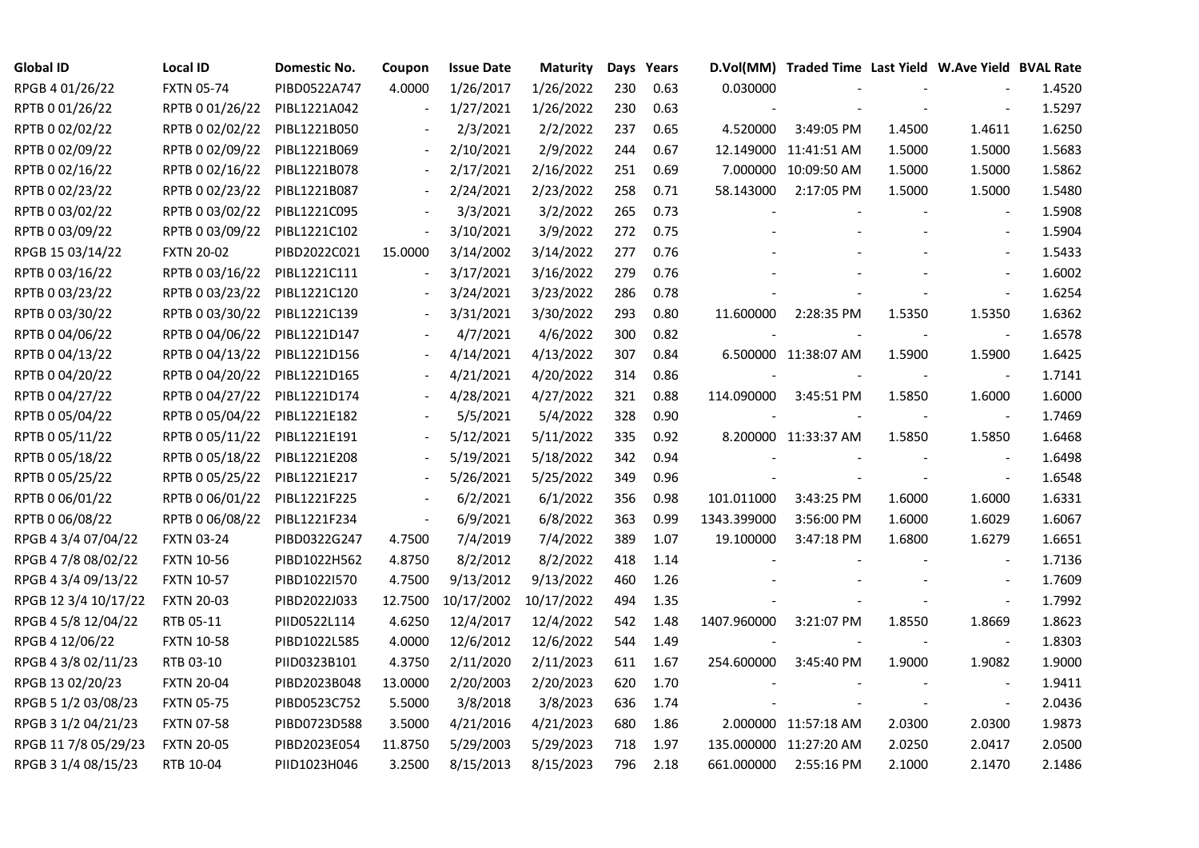| <b>Global ID</b>     | <b>Local ID</b>   | Domestic No. | Coupon                   | <b>Issue Date</b> | Maturity   | Days | Years |             | D.Vol(MM) Traded Time Last Yield W.Ave Yield BVAL Rate |        |                          |        |
|----------------------|-------------------|--------------|--------------------------|-------------------|------------|------|-------|-------------|--------------------------------------------------------|--------|--------------------------|--------|
| RPGB 4 01/26/22      | <b>FXTN 05-74</b> | PIBD0522A747 | 4.0000                   | 1/26/2017         | 1/26/2022  | 230  | 0.63  | 0.030000    |                                                        |        |                          | 1.4520 |
| RPTB 0 01/26/22      | RPTB 0 01/26/22   | PIBL1221A042 |                          | 1/27/2021         | 1/26/2022  | 230  | 0.63  |             |                                                        |        |                          | 1.5297 |
| RPTB 0 02/02/22      | RPTB 0 02/02/22   | PIBL1221B050 |                          | 2/3/2021          | 2/2/2022   | 237  | 0.65  | 4.520000    | 3:49:05 PM                                             | 1.4500 | 1.4611                   | 1.6250 |
| RPTB 0 02/09/22      | RPTB 0 02/09/22   | PIBL1221B069 |                          | 2/10/2021         | 2/9/2022   | 244  | 0.67  |             | 12.149000 11:41:51 AM                                  | 1.5000 | 1.5000                   | 1.5683 |
| RPTB 0 02/16/22      | RPTB 0 02/16/22   | PIBL1221B078 |                          | 2/17/2021         | 2/16/2022  | 251  | 0.69  |             | 7.000000 10:09:50 AM                                   | 1.5000 | 1.5000                   | 1.5862 |
| RPTB 0 02/23/22      | RPTB 0 02/23/22   | PIBL1221B087 | $\overline{\phantom{a}}$ | 2/24/2021         | 2/23/2022  | 258  | 0.71  | 58.143000   | 2:17:05 PM                                             | 1.5000 | 1.5000                   | 1.5480 |
| RPTB 0 03/02/22      | RPTB 0 03/02/22   | PIBL1221C095 |                          | 3/3/2021          | 3/2/2022   | 265  | 0.73  |             |                                                        |        | $\blacksquare$           | 1.5908 |
| RPTB 0 03/09/22      | RPTB 0 03/09/22   | PIBL1221C102 | $\overline{\phantom{a}}$ | 3/10/2021         | 3/9/2022   | 272  | 0.75  |             |                                                        |        | $\blacksquare$           | 1.5904 |
| RPGB 15 03/14/22     | <b>FXTN 20-02</b> | PIBD2022C021 | 15.0000                  | 3/14/2002         | 3/14/2022  | 277  | 0.76  |             |                                                        |        |                          | 1.5433 |
| RPTB 0 03/16/22      | RPTB 0 03/16/22   | PIBL1221C111 |                          | 3/17/2021         | 3/16/2022  | 279  | 0.76  |             |                                                        |        | $\blacksquare$           | 1.6002 |
| RPTB 0 03/23/22      | RPTB 0 03/23/22   | PIBL1221C120 |                          | 3/24/2021         | 3/23/2022  | 286  | 0.78  |             |                                                        |        | $\sim$                   | 1.6254 |
| RPTB 0 03/30/22      | RPTB 0 03/30/22   | PIBL1221C139 |                          | 3/31/2021         | 3/30/2022  | 293  | 0.80  | 11.600000   | 2:28:35 PM                                             | 1.5350 | 1.5350                   | 1.6362 |
| RPTB 0 04/06/22      | RPTB 0 04/06/22   | PIBL1221D147 |                          | 4/7/2021          | 4/6/2022   | 300  | 0.82  |             |                                                        |        | $\blacksquare$           | 1.6578 |
| RPTB 0 04/13/22      | RPTB 0 04/13/22   | PIBL1221D156 |                          | 4/14/2021         | 4/13/2022  | 307  | 0.84  |             | 6.500000 11:38:07 AM                                   | 1.5900 | 1.5900                   | 1.6425 |
| RPTB 0 04/20/22      | RPTB 0 04/20/22   | PIBL1221D165 |                          | 4/21/2021         | 4/20/2022  | 314  | 0.86  |             |                                                        |        | $\blacksquare$           | 1.7141 |
| RPTB 0 04/27/22      | RPTB 0 04/27/22   | PIBL1221D174 |                          | 4/28/2021         | 4/27/2022  | 321  | 0.88  | 114.090000  | 3:45:51 PM                                             | 1.5850 | 1.6000                   | 1.6000 |
| RPTB 0 05/04/22      | RPTB 0 05/04/22   | PIBL1221E182 |                          | 5/5/2021          | 5/4/2022   | 328  | 0.90  |             |                                                        |        | $\overline{\phantom{a}}$ | 1.7469 |
| RPTB 0 05/11/22      | RPTB 0 05/11/22   | PIBL1221E191 |                          | 5/12/2021         | 5/11/2022  | 335  | 0.92  |             | 8.200000 11:33:37 AM                                   | 1.5850 | 1.5850                   | 1.6468 |
| RPTB 0 05/18/22      | RPTB 0 05/18/22   | PIBL1221E208 |                          | 5/19/2021         | 5/18/2022  | 342  | 0.94  |             |                                                        |        | $\sim$                   | 1.6498 |
| RPTB 0 05/25/22      | RPTB 0 05/25/22   | PIBL1221E217 |                          | 5/26/2021         | 5/25/2022  | 349  | 0.96  |             |                                                        |        | $\blacksquare$           | 1.6548 |
| RPTB 0 06/01/22      | RPTB 0 06/01/22   | PIBL1221F225 | $\overline{\phantom{a}}$ | 6/2/2021          | 6/1/2022   | 356  | 0.98  | 101.011000  | 3:43:25 PM                                             | 1.6000 | 1.6000                   | 1.6331 |
| RPTB 0 06/08/22      | RPTB 0 06/08/22   | PIBL1221F234 | $\blacksquare$           | 6/9/2021          | 6/8/2022   | 363  | 0.99  | 1343.399000 | 3:56:00 PM                                             | 1.6000 | 1.6029                   | 1.6067 |
| RPGB 4 3/4 07/04/22  | <b>FXTN 03-24</b> | PIBD0322G247 | 4.7500                   | 7/4/2019          | 7/4/2022   | 389  | 1.07  | 19.100000   | 3:47:18 PM                                             | 1.6800 | 1.6279                   | 1.6651 |
| RPGB 4 7/8 08/02/22  | <b>FXTN 10-56</b> | PIBD1022H562 | 4.8750                   | 8/2/2012          | 8/2/2022   | 418  | 1.14  |             |                                                        |        | $\overline{\phantom{a}}$ | 1.7136 |
| RPGB 4 3/4 09/13/22  | <b>FXTN 10-57</b> | PIBD1022I570 | 4.7500                   | 9/13/2012         | 9/13/2022  | 460  | 1.26  |             |                                                        |        | $\sim$                   | 1.7609 |
| RPGB 12 3/4 10/17/22 | <b>FXTN 20-03</b> | PIBD2022J033 | 12.7500                  | 10/17/2002        | 10/17/2022 | 494  | 1.35  |             |                                                        |        | $\blacksquare$           | 1.7992 |
| RPGB 4 5/8 12/04/22  | RTB 05-11         | PIID0522L114 | 4.6250                   | 12/4/2017         | 12/4/2022  | 542  | 1.48  | 1407.960000 | 3:21:07 PM                                             | 1.8550 | 1.8669                   | 1.8623 |
| RPGB 4 12/06/22      | <b>FXTN 10-58</b> | PIBD1022L585 | 4.0000                   | 12/6/2012         | 12/6/2022  | 544  | 1.49  |             |                                                        |        | $\blacksquare$           | 1.8303 |
| RPGB 4 3/8 02/11/23  | RTB 03-10         | PIID0323B101 | 4.3750                   | 2/11/2020         | 2/11/2023  | 611  | 1.67  | 254.600000  | 3:45:40 PM                                             | 1.9000 | 1.9082                   | 1.9000 |
| RPGB 13 02/20/23     | <b>FXTN 20-04</b> | PIBD2023B048 | 13.0000                  | 2/20/2003         | 2/20/2023  | 620  | 1.70  |             |                                                        |        |                          | 1.9411 |
| RPGB 5 1/2 03/08/23  | <b>FXTN 05-75</b> | PIBD0523C752 | 5.5000                   | 3/8/2018          | 3/8/2023   | 636  | 1.74  |             |                                                        |        | $\blacksquare$           | 2.0436 |
| RPGB 3 1/2 04/21/23  | <b>FXTN 07-58</b> | PIBD0723D588 | 3.5000                   | 4/21/2016         | 4/21/2023  | 680  | 1.86  |             | 2.000000 11:57:18 AM                                   | 2.0300 | 2.0300                   | 1.9873 |
| RPGB 11 7/8 05/29/23 | <b>FXTN 20-05</b> | PIBD2023E054 | 11.8750                  | 5/29/2003         | 5/29/2023  | 718  | 1.97  |             | 135.000000 11:27:20 AM                                 | 2.0250 | 2.0417                   | 2.0500 |
| RPGB 3 1/4 08/15/23  | RTB 10-04         | PIID1023H046 | 3.2500                   | 8/15/2013         | 8/15/2023  | 796  | 2.18  | 661.000000  | 2:55:16 PM                                             | 2.1000 | 2.1470                   | 2.1486 |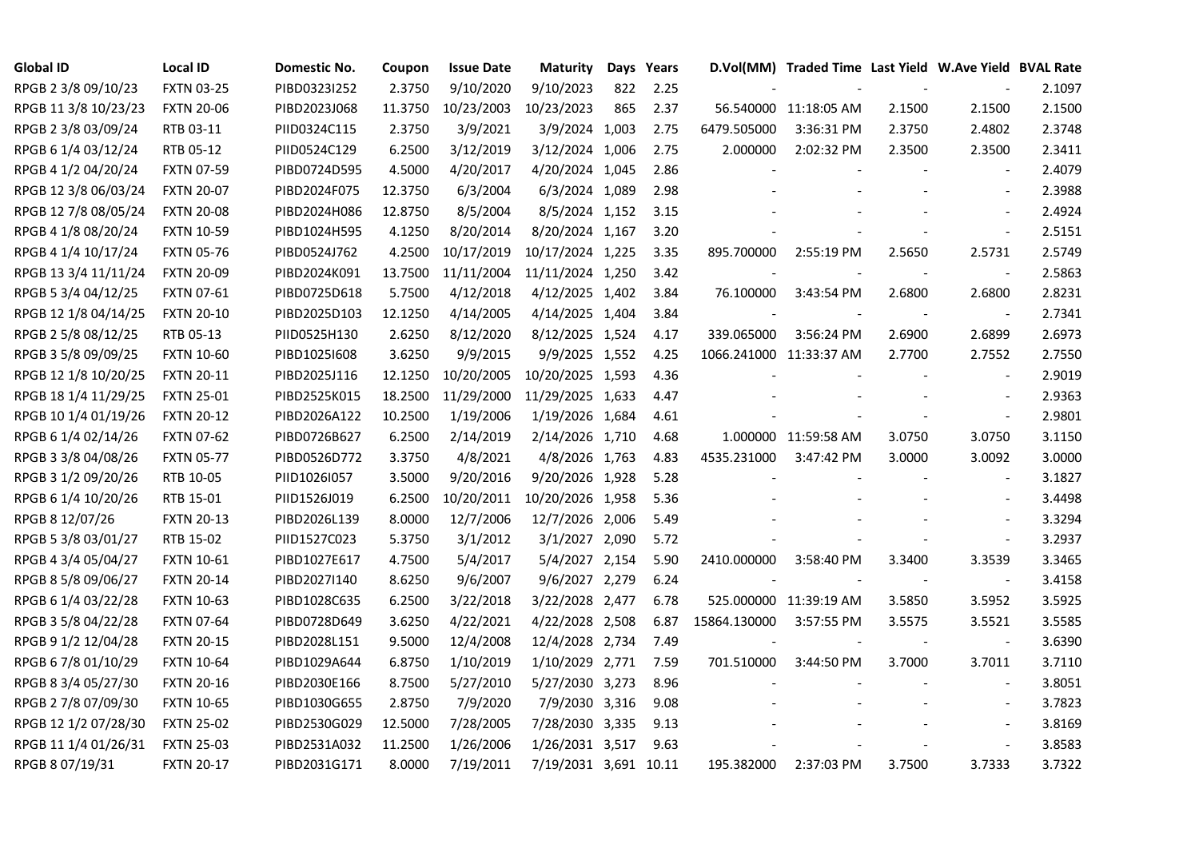| <b>Global ID</b>     | <b>Local ID</b>   | Domestic No. | Coupon  | <b>Issue Date</b> | <b>Maturity</b>       |     | Days Years |                         | D.Vol(MM) Traded Time Last Yield W.Ave Yield BVAL Rate |                          |                          |        |
|----------------------|-------------------|--------------|---------|-------------------|-----------------------|-----|------------|-------------------------|--------------------------------------------------------|--------------------------|--------------------------|--------|
| RPGB 2 3/8 09/10/23  | <b>FXTN 03-25</b> | PIBD0323I252 | 2.3750  | 9/10/2020         | 9/10/2023             | 822 | 2.25       |                         |                                                        |                          |                          | 2.1097 |
| RPGB 11 3/8 10/23/23 | <b>FXTN 20-06</b> | PIBD2023J068 | 11.3750 | 10/23/2003        | 10/23/2023            | 865 | 2.37       |                         | 56.540000 11:18:05 AM                                  | 2.1500                   | 2.1500                   | 2.1500 |
| RPGB 2 3/8 03/09/24  | RTB 03-11         | PIID0324C115 | 2.3750  | 3/9/2021          | 3/9/2024 1,003        |     | 2.75       | 6479.505000             | 3:36:31 PM                                             | 2.3750                   | 2.4802                   | 2.3748 |
| RPGB 6 1/4 03/12/24  | RTB 05-12         | PIID0524C129 | 6.2500  | 3/12/2019         | 3/12/2024 1,006       |     | 2.75       | 2.000000                | 2:02:32 PM                                             | 2.3500                   | 2.3500                   | 2.3411 |
| RPGB 4 1/2 04/20/24  | <b>FXTN 07-59</b> | PIBD0724D595 | 4.5000  | 4/20/2017         | 4/20/2024 1,045       |     | 2.86       |                         |                                                        |                          |                          | 2.4079 |
| RPGB 12 3/8 06/03/24 | <b>FXTN 20-07</b> | PIBD2024F075 | 12.3750 | 6/3/2004          | 6/3/2024 1,089        |     | 2.98       |                         |                                                        |                          |                          | 2.3988 |
| RPGB 12 7/8 08/05/24 | <b>FXTN 20-08</b> | PIBD2024H086 | 12.8750 | 8/5/2004          | 8/5/2024 1,152        |     | 3.15       |                         |                                                        |                          |                          | 2.4924 |
| RPGB 4 1/8 08/20/24  | <b>FXTN 10-59</b> | PIBD1024H595 | 4.1250  | 8/20/2014         | 8/20/2024 1,167       |     | 3.20       |                         |                                                        |                          | $\sim$                   | 2.5151 |
| RPGB 4 1/4 10/17/24  | <b>FXTN 05-76</b> | PIBD0524J762 | 4.2500  | 10/17/2019        | 10/17/2024 1,225      |     | 3.35       | 895.700000              | 2:55:19 PM                                             | 2.5650                   | 2.5731                   | 2.5749 |
| RPGB 13 3/4 11/11/24 | <b>FXTN 20-09</b> | PIBD2024K091 | 13.7500 | 11/11/2004        | 11/11/2024 1,250      |     | 3.42       |                         |                                                        | $\overline{\phantom{a}}$ | $\overline{\phantom{a}}$ | 2.5863 |
| RPGB 5 3/4 04/12/25  | <b>FXTN 07-61</b> | PIBD0725D618 | 5.7500  | 4/12/2018         | 4/12/2025 1,402       |     | 3.84       | 76.100000               | 3:43:54 PM                                             | 2.6800                   | 2.6800                   | 2.8231 |
| RPGB 12 1/8 04/14/25 | <b>FXTN 20-10</b> | PIBD2025D103 | 12.1250 | 4/14/2005         | 4/14/2025 1,404       |     | 3.84       |                         |                                                        |                          | $\overline{\phantom{a}}$ | 2.7341 |
| RPGB 2 5/8 08/12/25  | RTB 05-13         | PIID0525H130 | 2.6250  | 8/12/2020         | 8/12/2025 1,524       |     | 4.17       | 339.065000              | 3:56:24 PM                                             | 2.6900                   | 2.6899                   | 2.6973 |
| RPGB 3 5/8 09/09/25  | <b>FXTN 10-60</b> | PIBD10251608 | 3.6250  | 9/9/2015          | 9/9/2025 1,552        |     | 4.25       | 1066.241000 11:33:37 AM |                                                        | 2.7700                   | 2.7552                   | 2.7550 |
| RPGB 12 1/8 10/20/25 | <b>FXTN 20-11</b> | PIBD2025J116 | 12.1250 | 10/20/2005        | 10/20/2025 1,593      |     | 4.36       |                         |                                                        |                          |                          | 2.9019 |
| RPGB 18 1/4 11/29/25 | <b>FXTN 25-01</b> | PIBD2525K015 | 18.2500 | 11/29/2000        | 11/29/2025 1,633      |     | 4.47       |                         |                                                        |                          |                          | 2.9363 |
| RPGB 10 1/4 01/19/26 | <b>FXTN 20-12</b> | PIBD2026A122 | 10.2500 | 1/19/2006         | 1/19/2026 1,684       |     | 4.61       |                         |                                                        |                          | $\overline{\phantom{a}}$ | 2.9801 |
| RPGB 6 1/4 02/14/26  | <b>FXTN 07-62</b> | PIBD0726B627 | 6.2500  | 2/14/2019         | 2/14/2026 1,710       |     | 4.68       |                         | 1.000000 11:59:58 AM                                   | 3.0750                   | 3.0750                   | 3.1150 |
| RPGB 3 3/8 04/08/26  | <b>FXTN 05-77</b> | PIBD0526D772 | 3.3750  | 4/8/2021          | 4/8/2026 1,763        |     | 4.83       | 4535.231000             | 3:47:42 PM                                             | 3.0000                   | 3.0092                   | 3.0000 |
| RPGB 3 1/2 09/20/26  | RTB 10-05         | PIID1026I057 | 3.5000  | 9/20/2016         | 9/20/2026 1,928       |     | 5.28       |                         |                                                        |                          |                          | 3.1827 |
| RPGB 6 1/4 10/20/26  | RTB 15-01         | PIID1526J019 | 6.2500  | 10/20/2011        | 10/20/2026 1,958      |     | 5.36       |                         |                                                        |                          |                          | 3.4498 |
| RPGB 8 12/07/26      | <b>FXTN 20-13</b> | PIBD2026L139 | 8.0000  | 12/7/2006         | 12/7/2026 2,006       |     | 5.49       |                         |                                                        |                          |                          | 3.3294 |
| RPGB 5 3/8 03/01/27  | RTB 15-02         | PIID1527C023 | 5.3750  | 3/1/2012          | 3/1/2027 2,090        |     | 5.72       |                         |                                                        |                          |                          | 3.2937 |
| RPGB 4 3/4 05/04/27  | <b>FXTN 10-61</b> | PIBD1027E617 | 4.7500  | 5/4/2017          | 5/4/2027 2,154        |     | 5.90       | 2410.000000             | 3:58:40 PM                                             | 3.3400                   | 3.3539                   | 3.3465 |
| RPGB 8 5/8 09/06/27  | <b>FXTN 20-14</b> | PIBD2027I140 | 8.6250  | 9/6/2007          | 9/6/2027 2,279        |     | 6.24       |                         |                                                        | $\blacksquare$           | $\blacksquare$           | 3.4158 |
| RPGB 6 1/4 03/22/28  | <b>FXTN 10-63</b> | PIBD1028C635 | 6.2500  | 3/22/2018         | 3/22/2028 2,477       |     | 6.78       |                         | 525.000000 11:39:19 AM                                 | 3.5850                   | 3.5952                   | 3.5925 |
| RPGB 3 5/8 04/22/28  | <b>FXTN 07-64</b> | PIBD0728D649 | 3.6250  | 4/22/2021         | 4/22/2028 2,508       |     | 6.87       | 15864.130000            | 3:57:55 PM                                             | 3.5575                   | 3.5521                   | 3.5585 |
| RPGB 9 1/2 12/04/28  | <b>FXTN 20-15</b> | PIBD2028L151 | 9.5000  | 12/4/2008         | 12/4/2028 2,734       |     | 7.49       |                         |                                                        |                          | $\blacksquare$           | 3.6390 |
| RPGB 67/8 01/10/29   | <b>FXTN 10-64</b> | PIBD1029A644 | 6.8750  | 1/10/2019         | 1/10/2029 2,771       |     | 7.59       | 701.510000              | 3:44:50 PM                                             | 3.7000                   | 3.7011                   | 3.7110 |
| RPGB 8 3/4 05/27/30  | <b>FXTN 20-16</b> | PIBD2030E166 | 8.7500  | 5/27/2010         | 5/27/2030 3,273       |     | 8.96       |                         |                                                        |                          |                          | 3.8051 |
| RPGB 2 7/8 07/09/30  | <b>FXTN 10-65</b> | PIBD1030G655 | 2.8750  | 7/9/2020          | 7/9/2030 3,316        |     | 9.08       |                         |                                                        |                          |                          | 3.7823 |
| RPGB 12 1/2 07/28/30 | <b>FXTN 25-02</b> | PIBD2530G029 | 12.5000 | 7/28/2005         | 7/28/2030 3,335       |     | 9.13       |                         |                                                        |                          | $\sim$                   | 3.8169 |
| RPGB 11 1/4 01/26/31 | <b>FXTN 25-03</b> | PIBD2531A032 | 11.2500 | 1/26/2006         | 1/26/2031 3,517       |     | 9.63       |                         |                                                        |                          | $\sim$                   | 3.8583 |
| RPGB 8 07/19/31      | <b>FXTN 20-17</b> | PIBD2031G171 | 8.0000  | 7/19/2011         | 7/19/2031 3,691 10.11 |     |            | 195.382000              | 2:37:03 PM                                             | 3.7500                   | 3.7333                   | 3.7322 |